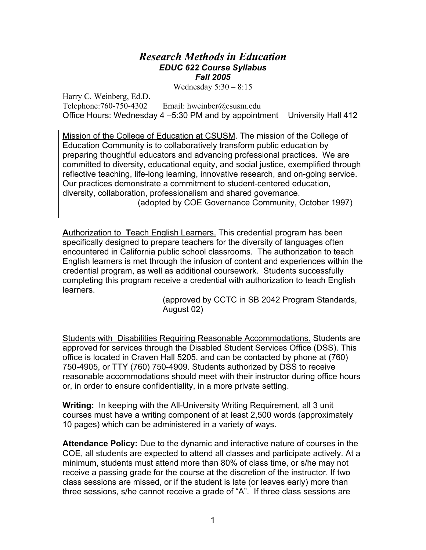#### *Research Methods in Education EDUC 622 Course Syllabus Fall 2005*

Wednesday 5:30 – 8:15

Harry C. Weinberg, Ed.D. Telephone:760-750-4302 Email: hweinber@csusm.edu Office Hours: Wednesday 4 –5:30 PM and by appointment University Hall 412

Mission of the College of Education at CSUSM. The mission of the College of Education Community is to collaboratively transform public education by preparing thoughtful educators and advancing professional practices. We are committed to diversity, educational equity, and social justice, exemplified through reflective teaching, life-long learning, innovative research, and on-going service. Our practices demonstrate a commitment to student-centered education, diversity, collaboration, professionalism and shared governance. (adopted by COE Governance Community, October 1997)

**A**uthorization to **T**each English Learners. This credential program has been specifically designed to prepare teachers for the diversity of languages often encountered in California public school classrooms. The authorization to teach English learners is met through the infusion of content and experiences within the credential program, as well as additional coursework. Students successfully completing this program receive a credential with authorization to teach English learners.

> (approved by CCTC in SB 2042 Program Standards, August 02)

Students with Disabilities Requiring Reasonable Accommodations. Students are approved for services through the Disabled Student Services Office (DSS). This office is located in Craven Hall 5205, and can be contacted by phone at (760) 750-4905, or TTY (760) 750-4909. Students authorized by DSS to receive reasonable accommodations should meet with their instructor during office hours or, in order to ensure confidentiality, in a more private setting.

**Writing:** In keeping with the All-University Writing Requirement, all 3 unit courses must have a writing component of at least 2,500 words (approximately 10 pages) which can be administered in a variety of ways.

**Attendance Policy:** Due to the dynamic and interactive nature of courses in the COE, all students are expected to attend all classes and participate actively. At a minimum, students must attend more than 80% of class time, or s/he may not receive a passing grade for the course at the discretion of the instructor. If two class sessions are missed, or if the student is late (or leaves early) more than three sessions, s/he cannot receive a grade of "A". If three class sessions are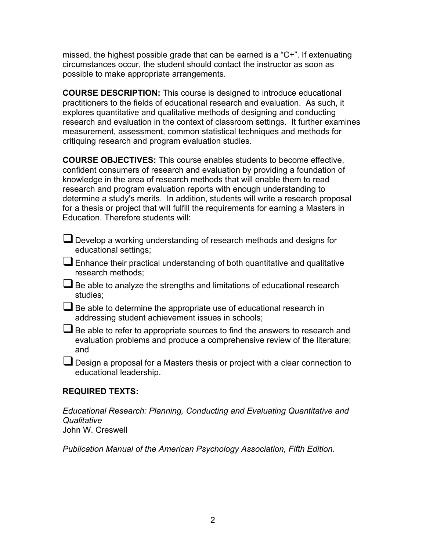missed, the highest possible grade that can be earned is a "C+". If extenuating circumstances occur, the student should contact the instructor as soon as possible to make appropriate arrangements.

**COURSE DESCRIPTION:** This course is designed to introduce educational practitioners to the fields of educational research and evaluation. As such, it explores quantitative and qualitative methods of designing and conducting research and evaluation in the context of classroom settings. It further examines measurement, assessment, common statistical techniques and methods for critiquing research and program evaluation studies.

**COURSE OBJECTIVES:** This course enables students to become effective, confident consumers of research and evaluation by providing a foundation of knowledge in the area of research methods that will enable them to read research and program evaluation reports with enough understanding to determine a study's merits. In addition, students will write a research proposal for a thesis or project that will fulfill the requirements for earning a Masters in Education. Therefore students will:

- Develop a working understanding of research methods and designs for educational settings;
- $\Box$  Enhance their practical understanding of both quantitative and qualitative research methods;
- $\Box$  Be able to analyze the strengths and limitations of educational research studies;
- $\Box$  Be able to determine the appropriate use of educational research in addressing student achievement issues in schools;
- $\Box$  Be able to refer to appropriate sources to find the answers to research and evaluation problems and produce a comprehensive review of the literature; and
- Design a proposal for a Masters thesis or project with a clear connection to educational leadership.

## **REQUIRED TEXTS:**

*Educational Research: Planning, Conducting and Evaluating Quantitative and Qualitative*  John W. Creswell

*Publication Manual of the American Psychology Association, Fifth Edition*.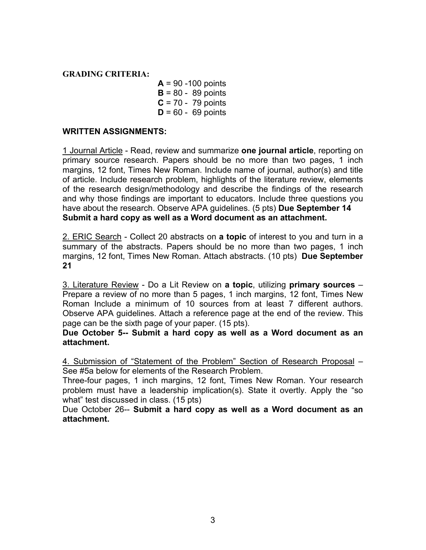#### **GRADING CRITERIA:**

**A** = 90 -100 points **B** = 80 - 89 points **C** = 70 - 79 points **D** = 60 - 69 points

#### **WRITTEN ASSIGNMENTS:**

1 Journal Article - Read, review and summarize **one journal article**, reporting on primary source research. Papers should be no more than two pages, 1 inch margins, 12 font, Times New Roman. Include name of journal, author(s) and title of article. Include research problem, highlights of the literature review, elements of the research design/methodology and describe the findings of the research and why those findings are important to educators. Include three questions you have about the research. Observe APA guidelines. (5 pts) **Due September 14 Submit a hard copy as well as a Word document as an attachment.**

2. ERIC Search - Collect 20 abstracts on **a topic** of interest to you and turn in a summary of the abstracts. Papers should be no more than two pages, 1 inch margins, 12 font, Times New Roman. Attach abstracts. (10 pts) **Due September 21**

3. Literature Review - Do a Lit Review on **a topic**, utilizing **primary sources** – Prepare a review of no more than 5 pages, 1 inch margins, 12 font, Times New Roman Include a minimum of 10 sources from at least 7 different authors. Observe APA guidelines. Attach a reference page at the end of the review. This page can be the sixth page of your paper. (15 pts).

**Due October 5-- Submit a hard copy as well as a Word document as an attachment.** 

4. Submission of "Statement of the Problem" Section of Research Proposal – See #5a below for elements of the Research Problem.

Three-four pages, 1 inch margins, 12 font, Times New Roman. Your research problem must have a leadership implication(s). State it overtly. Apply the "so what" test discussed in class. (15 pts)

Due October 26-- **Submit a hard copy as well as a Word document as an attachment.**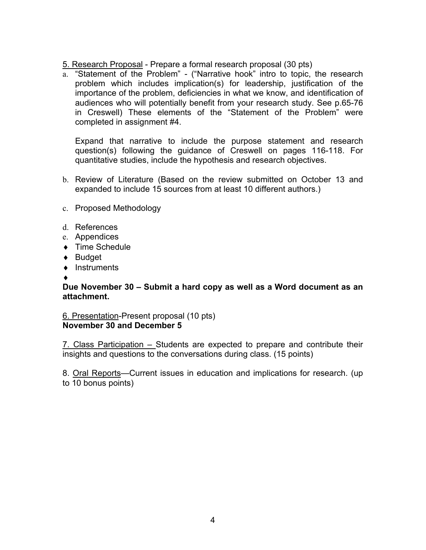5. Research Proposal - Prepare a formal research proposal (30 pts)

a. "Statement of the Problem" - ("Narrative hook" intro to topic, the research problem which includes implication(s) for leadership, justification of the importance of the problem, deficiencies in what we know, and identification of audiences who will potentially benefit from your research study. See p.65-76 in Creswell) These elements of the "Statement of the Problem" were completed in assignment #4.

Expand that narrative to include the purpose statement and research question(s) following the guidance of Creswell on pages 116-118. For quantitative studies, include the hypothesis and research objectives.

- b. Review of Literature (Based on the review submitted on October 13 and expanded to include 15 sources from at least 10 different authors.)
- c. Proposed Methodology
- d. References
- e. Appendices
- ◆ Time Schedule
- ♦ Budget
- ♦ Instruments
- ♦

#### **Due November 30 – Submit a hard copy as well as a Word document as an attachment.**

6. Presentation-Present proposal (10 pts) **November 30 and December 5** 

7. Class Participation – Students are expected to prepare and contribute their insights and questions to the conversations during class. (15 points)

8. Oral Reports—Current issues in education and implications for research. (up to 10 bonus points)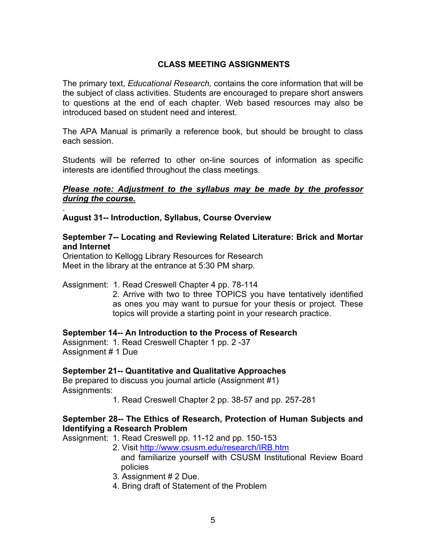## **CLASS MEETING ASSIGNMENTS**

The primary text, *Educational Research,* contains the core information that will be the subject of class activities. Students are encouraged to prepare short answers to questions at the end of each chapter. Web based resources may also be introduced based on student need and interest.

The APA Manual is primarily a reference book, but should be brought to class each session.

Students will be referred to other on-line sources of information as specific interests are identified throughout the class meetings.

#### *Please note: Adjustment to the syllabus may be made by the professor during the course.*

#### **August 31-- Introduction, Syllabus, Course Overview**

.

#### **September 7-- Locating and Reviewing Related Literature: Brick and Mortar and Internet**

Orientation to Kellogg Library Resources for Research Meet in the library at the entrance at 5:30 PM sharp.

#### Assignment: 1. Read Creswell Chapter 4 pp. 78-114

2. Arrive with two to three TOPICS you have tentatively identified as ones you may want to pursue for your thesis or project. These topics will provide a starting point in your research practice.

#### **September 14-- An Introduction to the Process of Research**

Assignment: 1. Read Creswell Chapter 1 pp. 2 -37 Assignment # 1 Due

#### **September 21-- Quantitative and Qualitative Approaches**

Be prepared to discuss you journal article (Assignment #1) Assignments:

1. Read Creswell Chapter 2 pp. 38-57 and pp. 257-281

#### **September 28-- The Ethics of Research, Protection of Human Subjects and Identifying a Research Problem**

Assignment: 1. Read Creswell pp. 11-12 and pp. 150-153

- 2. Visit http://www.csusm.edu/research/IRB.htm and familiarize yourself with CSUSM Institutional Review Board policies
- 3. Assignment # 2 Due.
- 4. Bring draft of Statement of the Problem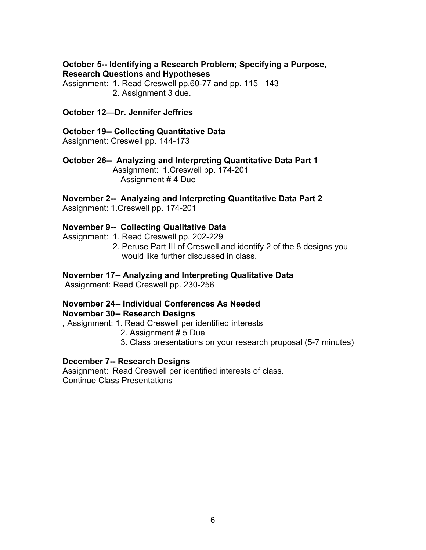#### **October 5-- Identifying a Research Problem; Specifying a Purpose, Research Questions and Hypotheses**

Assignment: 1. Read Creswell pp.60-77 and pp. 115 –143 2. Assignment 3 due.

#### **October 12—Dr. Jennifer Jeffries**

# **October 19-- Collecting Quantitative Data**

Assignment: Creswell pp. 144-173

### **October 26-- Analyzing and Interpreting Quantitative Data Part 1**

 Assignment: 1.Creswell pp. 174-201 Assignment # 4 Due

### **November 2-- Analyzing and Interpreting Quantitative Data Part 2**

Assignment: 1.Creswell pp. 174-201

#### **November 9-- Collecting Qualitative Data**

Assignment: 1. Read Creswell pp. 202-229

2. Peruse Part III of Creswell and identify 2 of the 8 designs you would like further discussed in class.

#### **November 17-- Analyzing and Interpreting Qualitative Data**

Assignment: Read Creswell pp. 230-256

## **November 24-- Individual Conferences As Needed**

#### **November 30-- Research Designs**

*,* Assignment: 1. Read Creswell per identified interests

- 2. Assignment # 5 Due
- 3. Class presentations on your research proposal (5-7 minutes)

#### **December 7-- Research Designs**

Assignment: Read Creswell per identified interests of class. Continue Class Presentations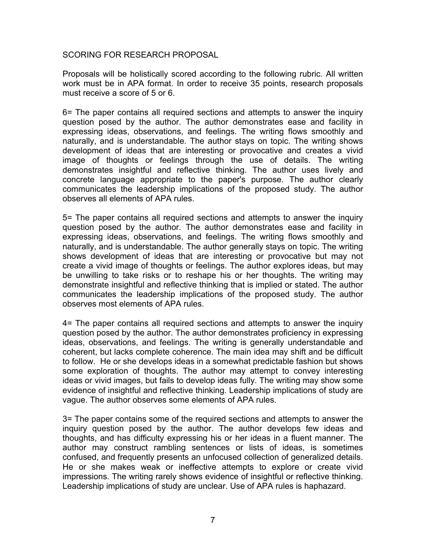#### SCORING FOR RESEARCH PROPOSAL

Proposals will be holistically scored according to the following rubric. All written work must be in APA format. In order to receive 35 points, research proposals must receive a score of 5 or 6.

6= The paper contains all required sections and attempts to answer the inquiry question posed by the author. The author demonstrates ease and facility in expressing ideas, observations, and feelings. The writing flows smoothly and naturally, and is understandable. The author stays on topic. The writing shows development of ideas that are interesting or provocative and creates a vivid image of thoughts or feelings through the use of details. The writing demonstrates insightful and reflective thinking. The author uses lively and concrete language appropriate to the paper's purpose. The author clearly communicates the leadership implications of the proposed study. The author observes all elements of APA rules.

5= The paper contains all required sections and attempts to answer the inquiry question posed by the author. The author demonstrates ease and facility in expressing ideas, observations, and feelings. The writing flows smoothly and naturally, and is understandable. The author generally stays on topic. The writing shows development of ideas that are interesting or provocative but may not create a vivid image of thoughts or feelings. The author explores ideas, but may be unwilling to take risks or to reshape his or her thoughts. The writing may demonstrate insightful and reflective thinking that is implied or stated. The author communicates the leadership implications of the proposed study. The author observes most elements of APA rules.

4= The paper contains all required sections and attempts to answer the inquiry question posed by the author. The author demonstrates proficiency in expressing ideas, observations, and feelings. The writing is generally understandable and coherent, but lacks complete coherence. The main idea may shift and be difficult to follow. He or she develops ideas in a somewhat predictable fashion but shows some exploration of thoughts. The author may attempt to convey interesting ideas or vivid images, but fails to develop ideas fully. The writing may show some evidence of insightful and reflective thinking. Leadership implications of study are vague. The author observes some elements of APA rules.

3= The paper contains some of the required sections and attempts to answer the inquiry question posed by the author. The author develops few ideas and thoughts, and has difficulty expressing his or her ideas in a fluent manner. The author may construct rambling sentences or lists of ideas, is sometimes confused, and frequently presents an unfocused collection of generalized details. He or she makes weak or ineffective attempts to explore or create vivid impressions. The writing rarely shows evidence of insightful or reflective thinking. Leadership implications of study are unclear. Use of APA rules is haphazard.